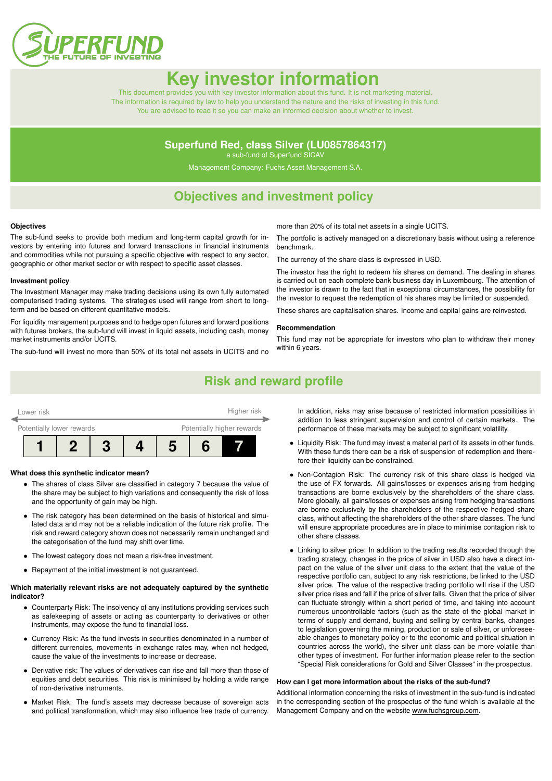

# **Key investor informat**

This document provides you with key investor information about this fund. It is not marketing material. The information is required by law to help you understand the nature and the risks of investing in this fund. You are advised to read it so you can make an informed decision about whether to invest.

# **Superfund Red, class Silver (LU0857864317)**

a sub-fund of Superfund SICAV

Management Company: Fuchs Asset Management S.A.

# **Objectives and investment policy**

### **Objectives**

The sub-fund seeks to provide both medium and long-term capital growth for investors by entering into futures and forward transactions in financial instruments and commodities while not pursuing a specific objective with respect to any sector, geographic or other market sector or with respect to specific asset classes.

# **Investment policy**

The Investment Manager may make trading decisions using its own fully automated computerised trading systems. The strategies used will range from short to longterm and be based on different quantitative models.

For liquidity management purposes and to hedge open futures and forward positions with futures brokers, the sub-fund will invest in liquid assets, including cash, money market instruments and/or UCITS.

The sub-fund will invest no more than 50% of its total net assets in UCITS and no

more than 20% of its total net assets in a single UCITS.

The portfolio is actively managed on a discretionary basis without using a reference benchmark.

The currency of the share class is expressed in USD.

The investor has the right to redeem his shares on demand. The dealing in shares is carried out on each complete bank business day in Luxembourg. The attention of the investor is drawn to the fact that in exceptional circumstances, the possibility for the investor to request the redemption of his shares may be limited or suspended.

These shares are capitalisation shares. Income and capital gains are reinvested.

# **Recommendation**

This fund may not be appropriate for investors who plan to withdraw their money within 6 years.

# **Risk and reward profile**



### **What does this synthetic indicator mean?**

- The shares of class Silver are classified in category 7 because the value of the share may be subject to high variations and consequently the risk of loss and the opportunity of gain may be high.
- The risk category has been determined on the basis of historical and simulated data and may not be a reliable indication of the future risk profile. The risk and reward category shown does not necessarily remain unchanged and the categorisation of the fund may shift over time.
- The lowest category does not mean a risk-free investment.
- Repayment of the initial investment is not guaranteed.

## **Which materially relevant risks are not adequately captured by the synthetic indicator?**

- Counterparty Risk: The insolvency of any institutions providing services such as safekeeping of assets or acting as counterparty to derivatives or other instruments, may expose the fund to financial loss.
- Currency Risk: As the fund invests in securities denominated in a number of different currencies, movements in exchange rates may, when not hedged, cause the value of the investments to increase or decrease.
- Derivative risk: The values of derivatives can rise and fall more than those of equities and debt securities. This risk is minimised by holding a wide range of non-derivative instruments.
- Market Risk: The fund's assets may decrease because of sovereign acts and political transformation, which may also influence free trade of currency.

In addition, risks may arise because of restricted information possibilities in addition to less stringent supervision and control of certain markets. The performance of these markets may be subject to significant volatility.

- Liquidity Risk: The fund may invest a material part of its assets in other funds. With these funds there can be a risk of suspension of redemption and therefore their liquidity can be constrained.
- Non-Contagion Risk: The currency risk of this share class is hedged via the use of FX forwards. All gains/losses or expenses arising from hedging transactions are borne exclusively by the shareholders of the share class. More globally, all gains/losses or expenses arising from hedging transactions are borne exclusively by the shareholders of the respective hedged share class, without affecting the shareholders of the other share classes. The fund will ensure appropriate procedures are in place to minimise contagion risk to other share classes.
- Linking to silver price: In addition to the trading results recorded through the trading strategy, changes in the price of silver in USD also have a direct impact on the value of the silver unit class to the extent that the value of the respective portfolio can, subject to any risk restrictions, be linked to the USD silver price. The value of the respective trading portfolio will rise if the USD silver price rises and fall if the price of silver falls. Given that the price of silver can fluctuate strongly within a short period of time, and taking into account numerous uncontrollable factors (such as the state of the global market in terms of supply and demand, buying and selling by central banks, changes to legislation governing the mining, production or sale of silver, or unforeseeable changes to monetary policy or to the economic and political situation in countries across the world), the silver unit class can be more volatile than other types of investment. For further information please refer to the section "Special Risk considerations for Gold and Silver Classes" in the prospectus.

#### **How can I get more information about the risks of the sub-fund?**

Additional information concerning the risks of investment in the sub-fund is indicated in the corresponding section of the prospectus of the fund which is available at the Management Company and on the website [www.fuchsgroup.com.](http://www.fuchsgroup.com)